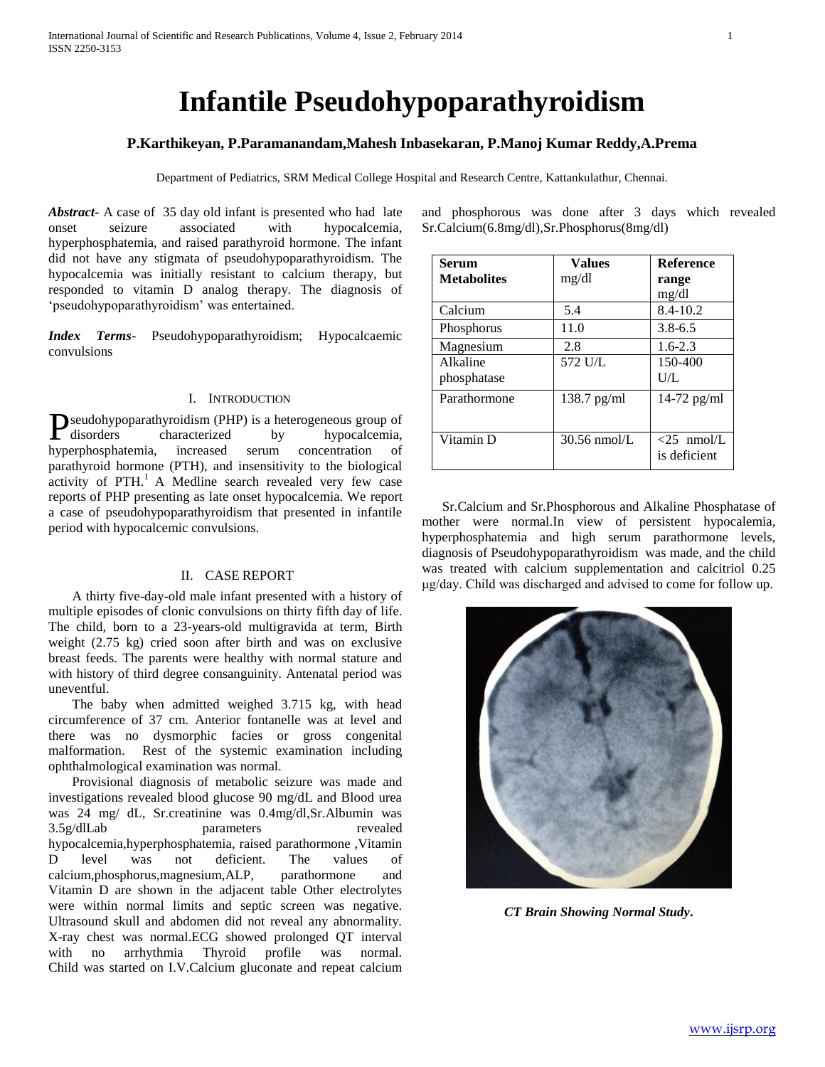# **Infantile Pseudohypoparathyroidism**

## **P.Karthikeyan, P.Paramanandam,Mahesh Inbasekaran, P.Manoj Kumar Reddy,A.Prema**

Department of Pediatrics, SRM Medical College Hospital and Research Centre, Kattankulathur, Chennai.

*Abstract***-** A case of 35 day old infant is presented who had late onset seizure associated with hypocalcemia, hyperphosphatemia, and raised parathyroid hormone. The infant did not have any stigmata of pseudohypoparathyroidism. The hypocalcemia was initially resistant to calcium therapy, but responded to vitamin D analog therapy. The diagnosis of 'pseudohypoparathyroidism' was entertained.

*Index Terms*- Pseudohypoparathyroidism; Hypocalcaemic convulsions

### I. INTRODUCTION

seudohypoparathyroidism (PHP) is a heterogeneous group of **D**seudohypoparathyroidism (PHP) is a heterogeneous group of disorders characterized by hypocalcemia, hyperphosphatemia, increased serum concentration of parathyroid hormone (PTH), and insensitivity to the biological activity of  $PTH<sup>1</sup>$  A Medline search revealed very few case reports of PHP presenting as late onset hypocalcemia. We report a case of pseudohypoparathyroidism that presented in infantile period with hypocalcemic convulsions.

#### II. CASE REPORT

 A thirty five-day-old male infant presented with a history of multiple episodes of clonic convulsions on thirty fifth day of life. The child, born to a 23-years-old multigravida at term, Birth weight (2.75 kg) cried soon after birth and was on exclusive breast feeds. The parents were healthy with normal stature and with history of third degree consanguinity. Antenatal period was uneventful.

 The baby when admitted weighed 3.715 kg, with head circumference of 37 cm. Anterior fontanelle was at level and there was no dysmorphic facies or gross congenital malformation. Rest of the systemic examination including ophthalmological examination was normal.

 Provisional diagnosis of metabolic seizure was made and investigations revealed blood glucose 90 mg/dL and Blood urea was 24 mg/ dL, Sr.creatinine was 0.4mg/dl,Sr.Albumin was 3.5g/dlLab parameters revealed hypocalcemia,hyperphosphatemia, raised parathormone ,Vitamin D level was not deficient. The values of calcium,phosphorus,magnesium,ALP, parathormone and Vitamin D are shown in the adjacent table Other electrolytes were within normal limits and septic screen was negative. Ultrasound skull and abdomen did not reveal any abnormality. X-ray chest was normal.ECG showed prolonged QT interval with no arrhythmia Thyroid profile was normal. Child was started on I.V.Calcium gluconate and repeat calcium and phosphorous was done after 3 days which revealed Sr.Calcium(6.8mg/dl),Sr.Phosphorus(8mg/dl)

| <b>Serum</b>       | <b>Values</b> | <b>Reference</b> |
|--------------------|---------------|------------------|
| <b>Metabolites</b> | mg/dl         | range            |
|                    |               | mg/dl            |
| Calcium            | 5.4           | $8.4 - 10.2$     |
| Phosphorus         | 11.0          | $3.8 - 6.5$      |
| Magnesium          | 2.8           | $1.6 - 2.3$      |
| Alkaline           | 572 U/L       | 150-400          |
| phosphatase        |               | U/L              |
| Parathormone       | $138.7$ pg/ml | $14-72$ pg/ml    |
|                    |               |                  |
| Vitamin D          | 30.56 nmol/L  | $<$ 25 nmol/L    |
|                    |               | is deficient     |
|                    |               |                  |

 Sr.Calcium and Sr.Phosphorous and Alkaline Phosphatase of mother were normal.In view of persistent hypocalemia, hyperphosphatemia and high serum parathormone levels, diagnosis of Pseudohypoparathyroidism was made, and the child was treated with calcium supplementation and calcitriol 0.25 μg/day. Child was discharged and advised to come for follow up.



*CT Brain Showing Normal Study***.**